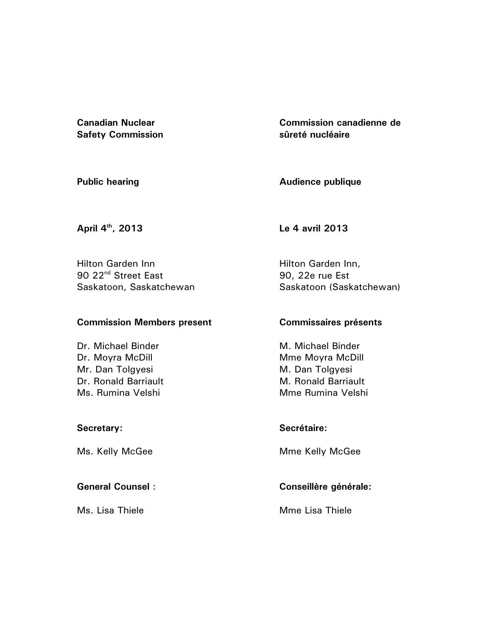**Canadian Nuclear Safety Commission** 

**Commission canadienne de sûreté nucléaire** 

**Public hearing** 

**Audience publique** 

**April 4th, 2013** 

**Le 4 avril 2013** 

Hilton Garden Inn 90 22<sup>nd</sup> Street East Saskatoon, Saskatchewan

### **Commission Members present**

Dr. Michael Binder Dr. Moyra McDill Mr. Dan Tolgyesi Dr. Ronald Barriault Ms. Rumina Velshi

### **Secretary:**

Ms. Kelly McGee

**General Counsel** :

Ms. Lisa Thiele

Hilton Garden Inn, 90, 22e rue Est Saskatoon (Saskatchewan)

## **Commissaires présents**

M. Michael Binder Mme Moyra McDill M. Dan Tolgyesi M. Ronald Barriault Mme Rumina Velshi

**Secrétaire:** 

Mme Kelly McGee

# **Conseillère générale:**

Mme Lisa Thiele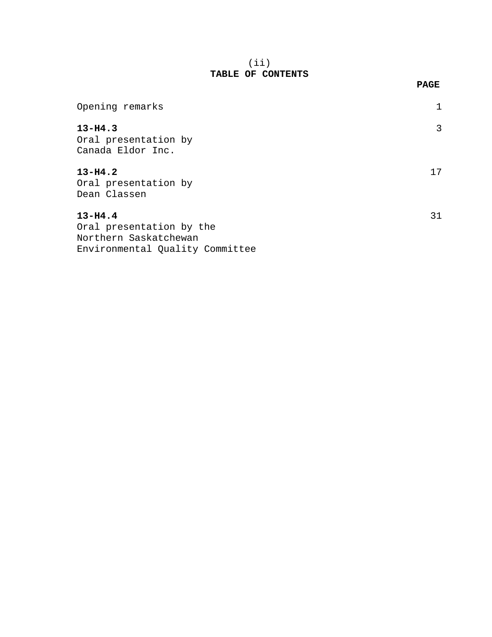### (ii) **TABLE OF CONTENTS**

**PAGE** 

| Opening remarks                                                                                     |    |
|-----------------------------------------------------------------------------------------------------|----|
| $13 - H4.3$<br>Oral presentation by<br>Canada Eldor Inc.                                            | 3  |
| $13 - H4.2$<br>Oral presentation by<br>Dean Classen                                                 | 17 |
| $13 - H4.4$<br>Oral presentation by the<br>Northern Saskatchewan<br>Environmental Quality Committee | 31 |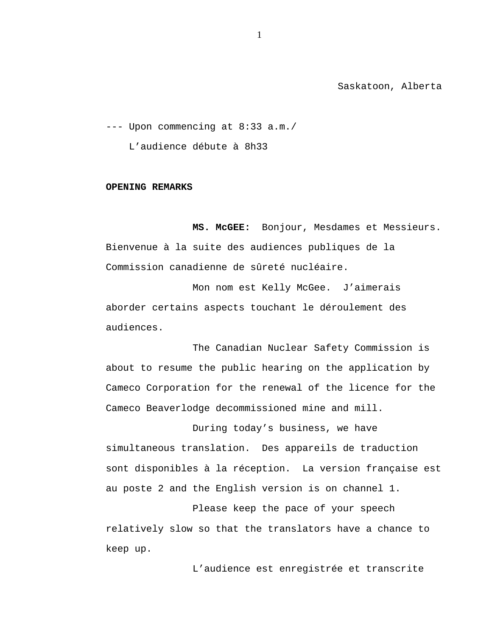Saskatoon, Alberta

--- Upon commencing at 8:33 a.m./ L'audience débute à 8h33

#### **OPENING REMARKS**

**MS. McGEE:** Bonjour, Mesdames et Messieurs. Bienvenue à la suite des audiences publiques de la Commission canadienne de sûreté nucléaire.

Mon nom est Kelly McGee. J'aimerais aborder certains aspects touchant le déroulement des audiences.

The Canadian Nuclear Safety Commission is about to resume the public hearing on the application by Cameco Corporation for the renewal of the licence for the Cameco Beaverlodge decommissioned mine and mill.

During today's business, we have simultaneous translation. Des appareils de traduction sont disponibles à la réception. La version française est au poste 2 and the English version is on channel 1.

Please keep the pace of your speech relatively slow so that the translators have a chance to keep up.

L'audience est enregistrée et transcrite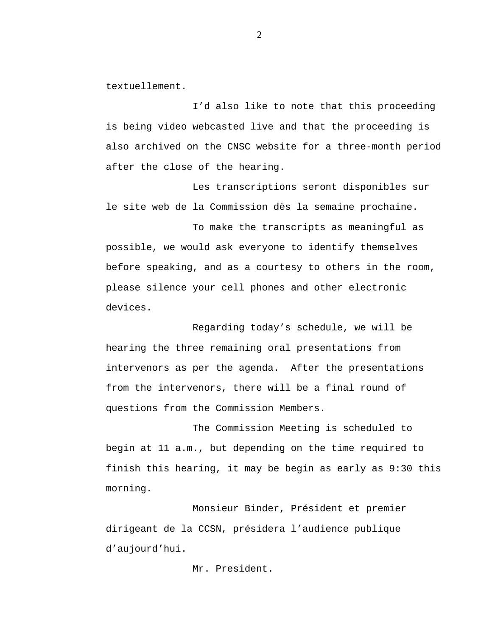textuellement.

I'd also like to note that this proceeding is being video webcasted live and that the proceeding is also archived on the CNSC website for a three-month period after the close of the hearing.

Les transcriptions seront disponibles sur le site web de la Commission dès la semaine prochaine.

To make the transcripts as meaningful as possible, we would ask everyone to identify themselves before speaking, and as a courtesy to others in the room, please silence your cell phones and other electronic devices.

Regarding today's schedule, we will be hearing the three remaining oral presentations from intervenors as per the agenda. After the presentations from the intervenors, there will be a final round of questions from the Commission Members.

The Commission Meeting is scheduled to begin at 11 a.m., but depending on the time required to finish this hearing, it may be begin as early as 9:30 this morning.

Monsieur Binder, Président et premier dirigeant de la CCSN, présidera l'audience publique d'aujourd'hui.

Mr. President.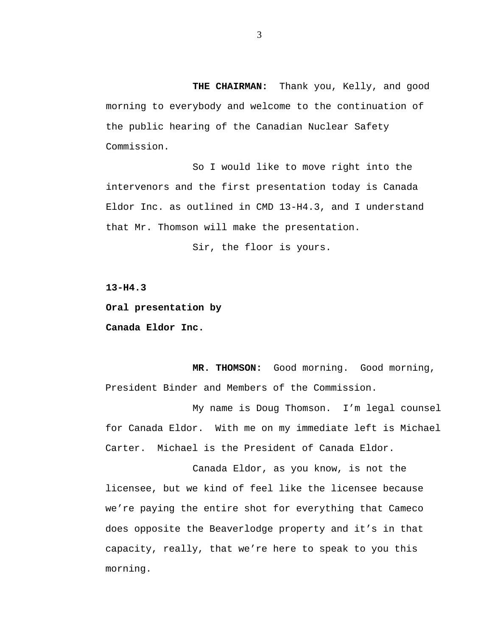**THE CHAIRMAN:** Thank you, Kelly, and good morning to everybody and welcome to the continuation of the public hearing of the Canadian Nuclear Safety Commission.

So I would like to move right into the intervenors and the first presentation today is Canada Eldor Inc. as outlined in CMD 13-H4.3, and I understand that Mr. Thomson will make the presentation.

Sir, the floor is yours.

**13-H4.3** 

**Oral presentation by Canada Eldor Inc.** 

**MR. THOMSON:** Good morning. Good morning, President Binder and Members of the Commission.

My name is Doug Thomson. I'm legal counsel for Canada Eldor. With me on my immediate left is Michael Carter. Michael is the President of Canada Eldor.

Canada Eldor, as you know, is not the licensee, but we kind of feel like the licensee because we're paying the entire shot for everything that Cameco does opposite the Beaverlodge property and it's in that capacity, really, that we're here to speak to you this morning.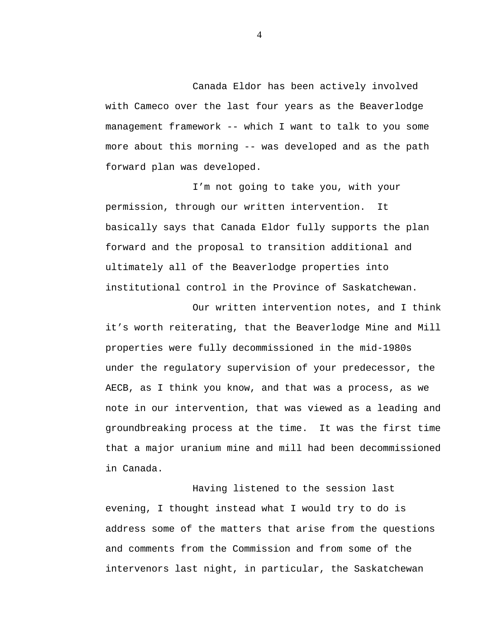Canada Eldor has been actively involved with Cameco over the last four years as the Beaverlodge management framework -- which I want to talk to you some more about this morning -- was developed and as the path forward plan was developed.

I'm not going to take you, with your permission, through our written intervention. It basically says that Canada Eldor fully supports the plan forward and the proposal to transition additional and ultimately all of the Beaverlodge properties into institutional control in the Province of Saskatchewan.

Our written intervention notes, and I think it's worth reiterating, that the Beaverlodge Mine and Mill properties were fully decommissioned in the mid-1980s under the regulatory supervision of your predecessor, the AECB, as I think you know, and that was a process, as we note in our intervention, that was viewed as a leading and groundbreaking process at the time. It was the first time that a major uranium mine and mill had been decommissioned in Canada.

Having listened to the session last evening, I thought instead what I would try to do is address some of the matters that arise from the questions and comments from the Commission and from some of the intervenors last night, in particular, the Saskatchewan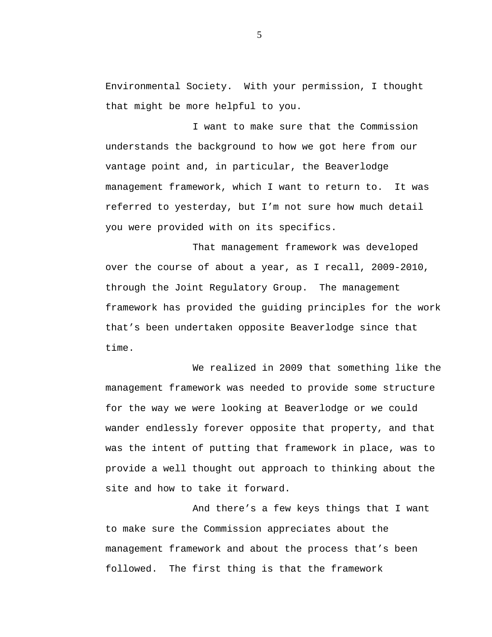Environmental Society. With your permission, I thought that might be more helpful to you.

I want to make sure that the Commission understands the background to how we got here from our vantage point and, in particular, the Beaverlodge management framework, which I want to return to. It was referred to yesterday, but I'm not sure how much detail you were provided with on its specifics.

That management framework was developed over the course of about a year, as I recall, 2009-2010, through the Joint Regulatory Group. The management framework has provided the guiding principles for the work that's been undertaken opposite Beaverlodge since that time.

We realized in 2009 that something like the management framework was needed to provide some structure for the way we were looking at Beaverlodge or we could wander endlessly forever opposite that property, and that was the intent of putting that framework in place, was to provide a well thought out approach to thinking about the site and how to take it forward.

And there's a few keys things that I want to make sure the Commission appreciates about the management framework and about the process that's been followed. The first thing is that the framework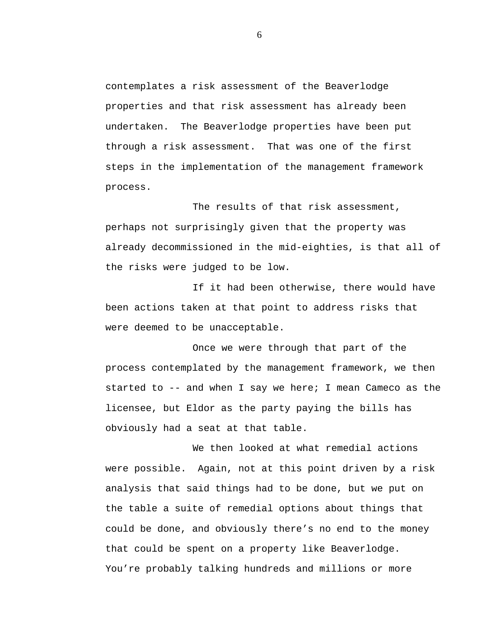contemplates a risk assessment of the Beaverlodge properties and that risk assessment has already been undertaken. The Beaverlodge properties have been put through a risk assessment. That was one of the first steps in the implementation of the management framework process.

The results of that risk assessment, perhaps not surprisingly given that the property was already decommissioned in the mid-eighties, is that all of the risks were judged to be low.

If it had been otherwise, there would have been actions taken at that point to address risks that were deemed to be unacceptable.

Once we were through that part of the process contemplated by the management framework, we then started to -- and when I say we here; I mean Cameco as the licensee, but Eldor as the party paying the bills has obviously had a seat at that table.

We then looked at what remedial actions were possible. Again, not at this point driven by a risk analysis that said things had to be done, but we put on the table a suite of remedial options about things that could be done, and obviously there's no end to the money that could be spent on a property like Beaverlodge. You're probably talking hundreds and millions or more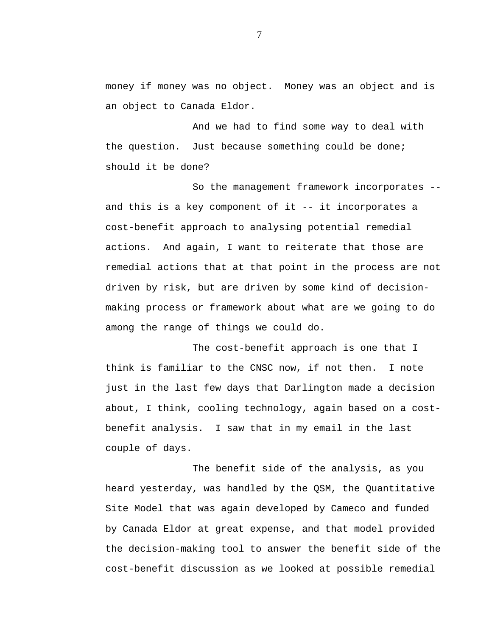money if money was no object. Money was an object and is an object to Canada Eldor.

And we had to find some way to deal with the question. Just because something could be done; should it be done?

So the management framework incorporates - and this is a key component of it -- it incorporates a cost-benefit approach to analysing potential remedial actions. And again, I want to reiterate that those are remedial actions that at that point in the process are not driven by risk, but are driven by some kind of decisionmaking process or framework about what are we going to do among the range of things we could do.

The cost-benefit approach is one that I think is familiar to the CNSC now, if not then. I note just in the last few days that Darlington made a decision about, I think, cooling technology, again based on a costbenefit analysis. I saw that in my email in the last couple of days.

The benefit side of the analysis, as you heard yesterday, was handled by the QSM, the Quantitative Site Model that was again developed by Cameco and funded by Canada Eldor at great expense, and that model provided the decision-making tool to answer the benefit side of the cost-benefit discussion as we looked at possible remedial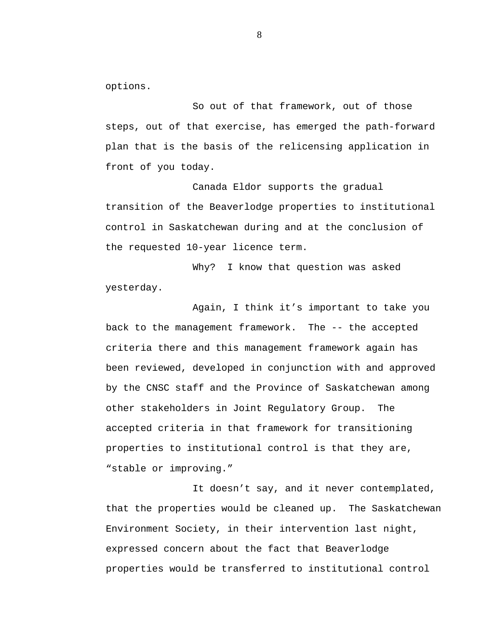options.

So out of that framework, out of those steps, out of that exercise, has emerged the path-forward plan that is the basis of the relicensing application in front of you today.

Canada Eldor supports the gradual transition of the Beaverlodge properties to institutional control in Saskatchewan during and at the conclusion of the requested 10-year licence term.

Why? I know that question was asked yesterday.

Again, I think it's important to take you back to the management framework. The -- the accepted criteria there and this management framework again has been reviewed, developed in conjunction with and approved by the CNSC staff and the Province of Saskatchewan among other stakeholders in Joint Regulatory Group. The accepted criteria in that framework for transitioning properties to institutional control is that they are, "stable or improving."

It doesn't say, and it never contemplated, that the properties would be cleaned up. The Saskatchewan Environment Society, in their intervention last night, expressed concern about the fact that Beaverlodge properties would be transferred to institutional control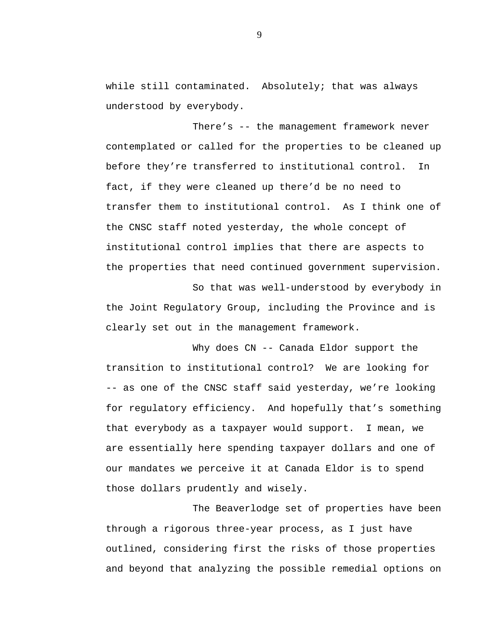while still contaminated. Absolutely; that was always understood by everybody.

There's -- the management framework never contemplated or called for the properties to be cleaned up before they're transferred to institutional control. In fact, if they were cleaned up there'd be no need to transfer them to institutional control. As I think one of the CNSC staff noted yesterday, the whole concept of institutional control implies that there are aspects to the properties that need continued government supervision.

So that was well-understood by everybody in the Joint Regulatory Group, including the Province and is clearly set out in the management framework.

Why does CN -- Canada Eldor support the transition to institutional control? We are looking for -- as one of the CNSC staff said yesterday, we're looking for regulatory efficiency. And hopefully that's something that everybody as a taxpayer would support. I mean, we are essentially here spending taxpayer dollars and one of our mandates we perceive it at Canada Eldor is to spend those dollars prudently and wisely.

The Beaverlodge set of properties have been through a rigorous three-year process, as I just have outlined, considering first the risks of those properties and beyond that analyzing the possible remedial options on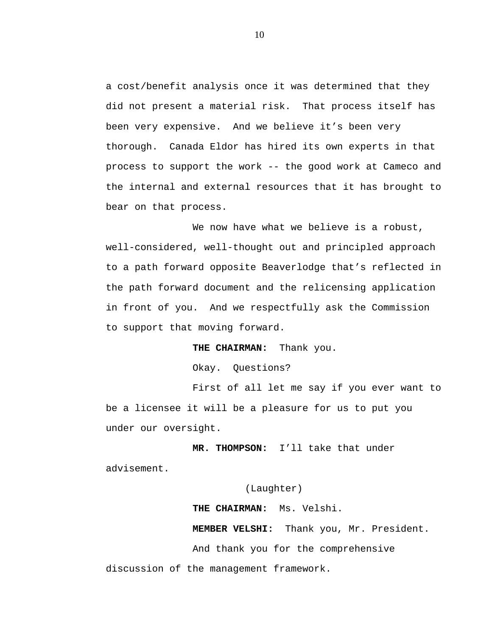a cost/benefit analysis once it was determined that they did not present a material risk. That process itself has been very expensive. And we believe it's been very thorough. Canada Eldor has hired its own experts in that process to support the work -- the good work at Cameco and the internal and external resources that it has brought to bear on that process.

We now have what we believe is a robust, well-considered, well-thought out and principled approach to a path forward opposite Beaverlodge that's reflected in the path forward document and the relicensing application in front of you. And we respectfully ask the Commission to support that moving forward.

### **THE CHAIRMAN:** Thank you.

Okay. Questions?

First of all let me say if you ever want to be a licensee it will be a pleasure for us to put you under our oversight.

**MR. THOMPSON:** I'll take that under advisement.

(Laughter)

**THE CHAIRMAN:** Ms. Velshi.

**MEMBER VELSHI:** Thank you, Mr. President.

And thank you for the comprehensive

discussion of the management framework.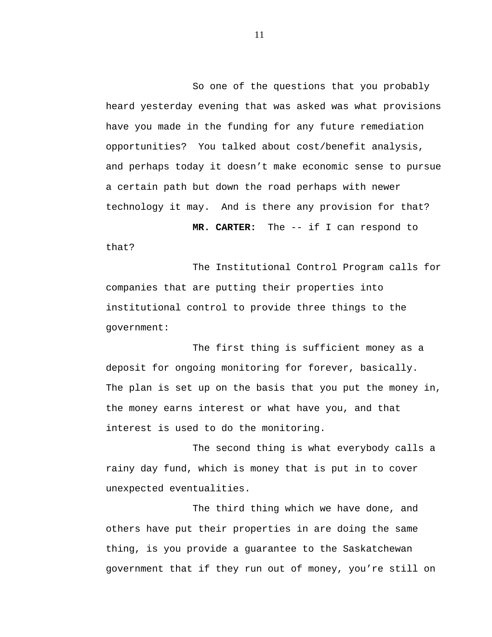So one of the questions that you probably heard yesterday evening that was asked was what provisions have you made in the funding for any future remediation opportunities? You talked about cost/benefit analysis, and perhaps today it doesn't make economic sense to pursue a certain path but down the road perhaps with newer technology it may. And is there any provision for that?

**MR. CARTER:** The -- if I can respond to that?

The Institutional Control Program calls for companies that are putting their properties into institutional control to provide three things to the government:

The first thing is sufficient money as a deposit for ongoing monitoring for forever, basically. The plan is set up on the basis that you put the money in, the money earns interest or what have you, and that interest is used to do the monitoring.

The second thing is what everybody calls a rainy day fund, which is money that is put in to cover unexpected eventualities.

The third thing which we have done, and others have put their properties in are doing the same thing, is you provide a guarantee to the Saskatchewan government that if they run out of money, you're still on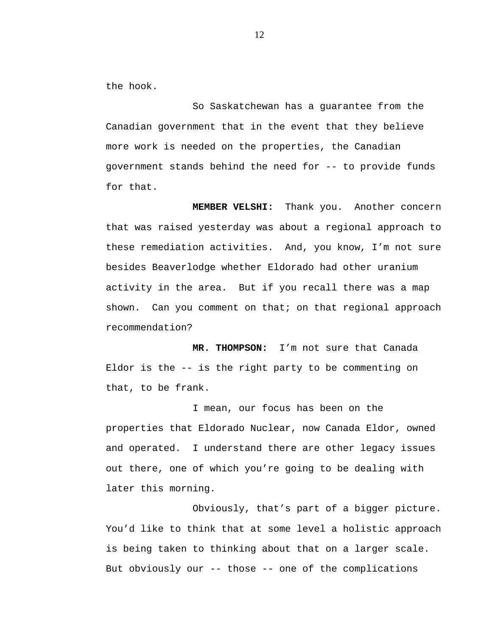the hook.

So Saskatchewan has a guarantee from the Canadian government that in the event that they believe more work is needed on the properties, the Canadian government stands behind the need for -- to provide funds for that.

**MEMBER VELSHI:** Thank you. Another concern that was raised yesterday was about a regional approach to these remediation activities. And, you know, I'm not sure besides Beaverlodge whether Eldorado had other uranium activity in the area. But if you recall there was a map shown. Can you comment on that; on that regional approach recommendation?

**MR. THOMPSON:** I'm not sure that Canada Eldor is the -- is the right party to be commenting on that, to be frank.

I mean, our focus has been on the properties that Eldorado Nuclear, now Canada Eldor, owned and operated. I understand there are other legacy issues out there, one of which you're going to be dealing with later this morning.

Obviously, that's part of a bigger picture. You'd like to think that at some level a holistic approach is being taken to thinking about that on a larger scale. But obviously our -- those -- one of the complications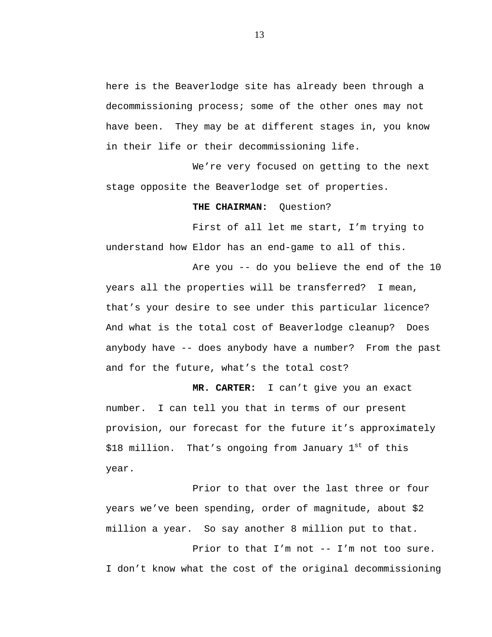here is the Beaverlodge site has already been through a decommissioning process; some of the other ones may not have been. They may be at different stages in, you know in their life or their decommissioning life.

We're very focused on getting to the next stage opposite the Beaverlodge set of properties.

#### **THE CHAIRMAN:** Question?

First of all let me start, I'm trying to understand how Eldor has an end-game to all of this.

Are you -- do you believe the end of the 10 years all the properties will be transferred? I mean, that's your desire to see under this particular licence? And what is the total cost of Beaverlodge cleanup? Does anybody have -- does anybody have a number? From the past and for the future, what's the total cost?

**MR. CARTER:** I can't give you an exact number. I can tell you that in terms of our present provision, our forecast for the future it's approximately \$18 million. That's ongoing from January  $1<sup>st</sup>$  of this year.

Prior to that over the last three or four years we've been spending, order of magnitude, about \$2 million a year. So say another 8 million put to that.

Prior to that I'm not -- I'm not too sure. I don't know what the cost of the original decommissioning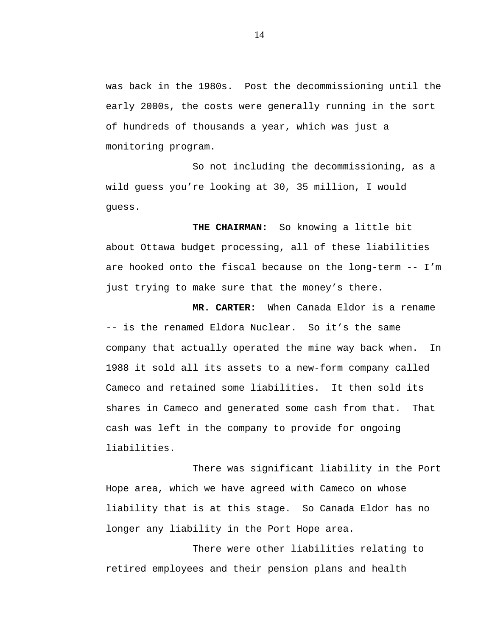was back in the 1980s. Post the decommissioning until the early 2000s, the costs were generally running in the sort of hundreds of thousands a year, which was just a monitoring program.

So not including the decommissioning, as a wild guess you're looking at 30, 35 million, I would guess.

**THE CHAIRMAN:** So knowing a little bit about Ottawa budget processing, all of these liabilities are hooked onto the fiscal because on the long-term -- I'm just trying to make sure that the money's there.

**MR. CARTER:** When Canada Eldor is a rename -- is the renamed Eldora Nuclear. So it's the same company that actually operated the mine way back when. In 1988 it sold all its assets to a new-form company called Cameco and retained some liabilities. It then sold its shares in Cameco and generated some cash from that. That cash was left in the company to provide for ongoing liabilities.

There was significant liability in the Port Hope area, which we have agreed with Cameco on whose liability that is at this stage. So Canada Eldor has no longer any liability in the Port Hope area.

There were other liabilities relating to retired employees and their pension plans and health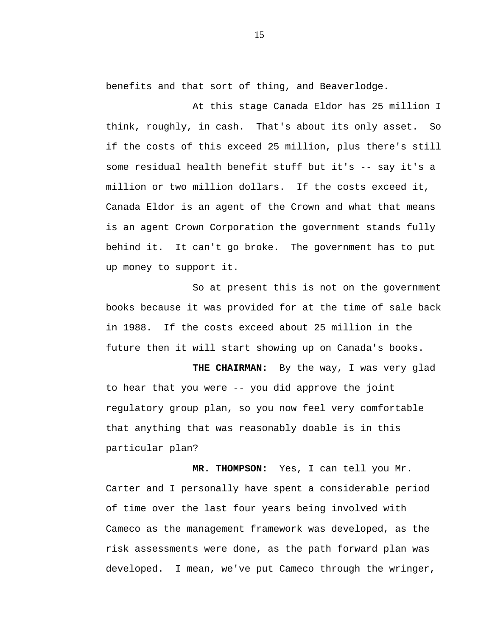benefits and that sort of thing, and Beaverlodge.

At this stage Canada Eldor has 25 million I think, roughly, in cash. That's about its only asset. So if the costs of this exceed 25 million, plus there's still some residual health benefit stuff but it's -- say it's a million or two million dollars. If the costs exceed it, Canada Eldor is an agent of the Crown and what that means is an agent Crown Corporation the government stands fully behind it. It can't go broke. The government has to put up money to support it.

So at present this is not on the government books because it was provided for at the time of sale back in 1988. If the costs exceed about 25 million in the future then it will start showing up on Canada's books.

**THE CHAIRMAN:** By the way, I was very glad to hear that you were -- you did approve the joint regulatory group plan, so you now feel very comfortable that anything that was reasonably doable is in this particular plan?

**MR. THOMPSON:** Yes, I can tell you Mr. Carter and I personally have spent a considerable period of time over the last four years being involved with Cameco as the management framework was developed, as the risk assessments were done, as the path forward plan was developed. I mean, we've put Cameco through the wringer,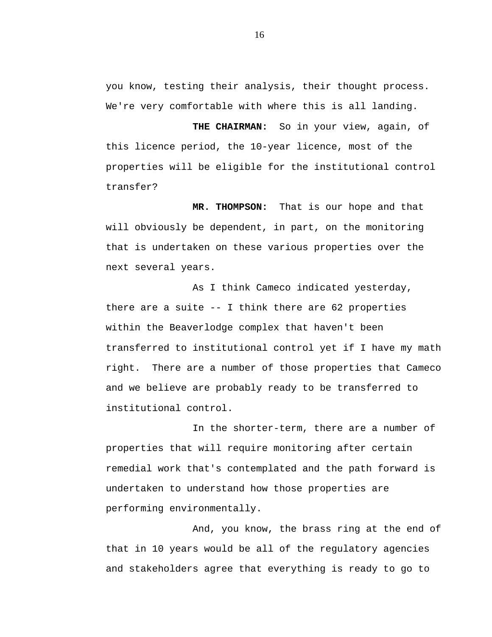you know, testing their analysis, their thought process. We're very comfortable with where this is all landing.

**THE CHAIRMAN:** So in your view, again, of this licence period, the 10-year licence, most of the properties will be eligible for the institutional control transfer?

**MR. THOMPSON:** That is our hope and that will obviously be dependent, in part, on the monitoring that is undertaken on these various properties over the next several years.

As I think Cameco indicated yesterday, there are a suite -- I think there are 62 properties within the Beaverlodge complex that haven't been transferred to institutional control yet if I have my math right. There are a number of those properties that Cameco and we believe are probably ready to be transferred to institutional control.

In the shorter-term, there are a number of properties that will require monitoring after certain remedial work that's contemplated and the path forward is undertaken to understand how those properties are performing environmentally.

And, you know, the brass ring at the end of that in 10 years would be all of the regulatory agencies and stakeholders agree that everything is ready to go to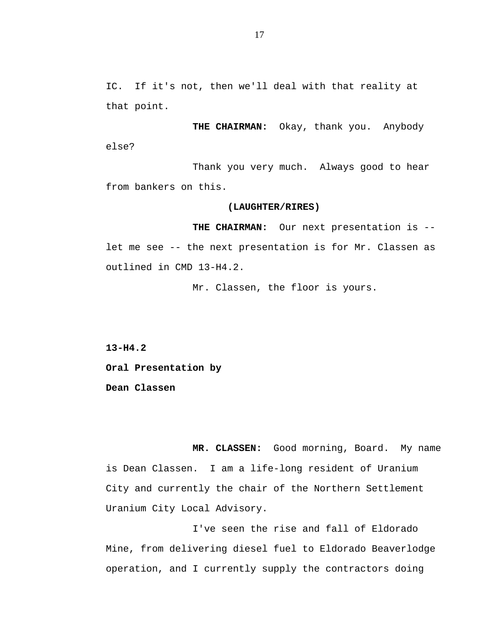IC. If it's not, then we'll deal with that reality at that point.

**THE CHAIRMAN:** Okay, thank you. Anybody else?

Thank you very much. Always good to hear from bankers on this.

#### **(LAUGHTER/RIRES)**

**THE CHAIRMAN:** Our next presentation is - let me see -- the next presentation is for Mr. Classen as outlined in CMD 13-H4.2.

Mr. Classen, the floor is yours.

**13-H4.2** 

**Oral Presentation by** 

**Dean Classen** 

 **MR. CLASSEN:** Good morning, Board. My name is Dean Classen. I am a life-long resident of Uranium City and currently the chair of the Northern Settlement Uranium City Local Advisory.

I've seen the rise and fall of Eldorado Mine, from delivering diesel fuel to Eldorado Beaverlodge operation, and I currently supply the contractors doing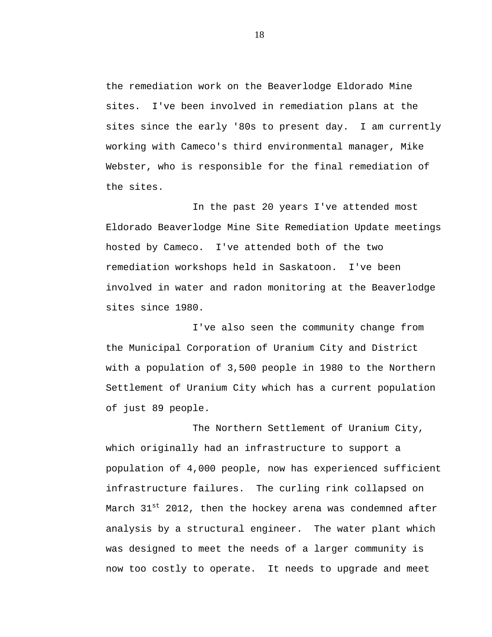the remediation work on the Beaverlodge Eldorado Mine sites. I've been involved in remediation plans at the sites since the early '80s to present day. I am currently working with Cameco's third environmental manager, Mike Webster, who is responsible for the final remediation of the sites.

In the past 20 years I've attended most Eldorado Beaverlodge Mine Site Remediation Update meetings hosted by Cameco. I've attended both of the two remediation workshops held in Saskatoon. I've been involved in water and radon monitoring at the Beaverlodge sites since 1980.

I've also seen the community change from the Municipal Corporation of Uranium City and District with a population of 3,500 people in 1980 to the Northern Settlement of Uranium City which has a current population of just 89 people.

The Northern Settlement of Uranium City, which originally had an infrastructure to support a population of 4,000 people, now has experienced sufficient infrastructure failures. The curling rink collapsed on March 31<sup>st</sup> 2012, then the hockey arena was condemned after analysis by a structural engineer. The water plant which was designed to meet the needs of a larger community is now too costly to operate. It needs to upgrade and meet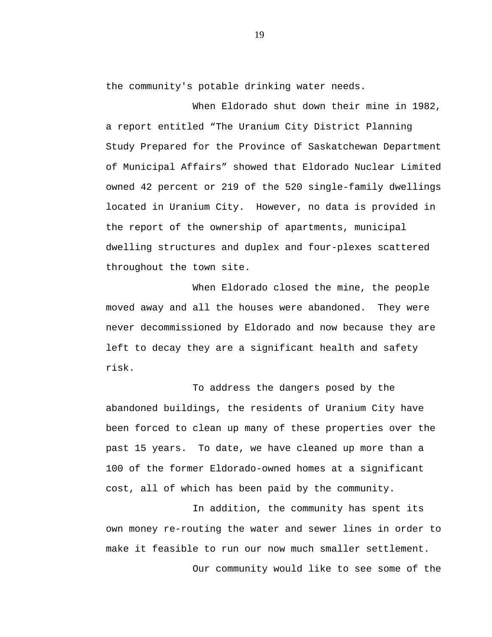the community's potable drinking water needs.

When Eldorado shut down their mine in 1982, a report entitled "The Uranium City District Planning Study Prepared for the Province of Saskatchewan Department of Municipal Affairs" showed that Eldorado Nuclear Limited owned 42 percent or 219 of the 520 single-family dwellings located in Uranium City. However, no data is provided in the report of the ownership of apartments, municipal dwelling structures and duplex and four-plexes scattered throughout the town site.

When Eldorado closed the mine, the people moved away and all the houses were abandoned. They were never decommissioned by Eldorado and now because they are left to decay they are a significant health and safety risk.

To address the dangers posed by the abandoned buildings, the residents of Uranium City have been forced to clean up many of these properties over the past 15 years. To date, we have cleaned up more than a 100 of the former Eldorado-owned homes at a significant cost, all of which has been paid by the community.

In addition, the community has spent its own money re-routing the water and sewer lines in order to make it feasible to run our now much smaller settlement.

Our community would like to see some of the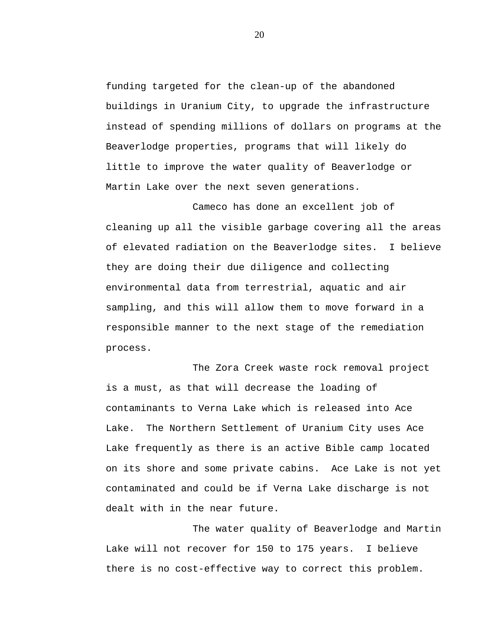funding targeted for the clean-up of the abandoned buildings in Uranium City, to upgrade the infrastructure instead of spending millions of dollars on programs at the Beaverlodge properties, programs that will likely do little to improve the water quality of Beaverlodge or Martin Lake over the next seven generations.

Cameco has done an excellent job of cleaning up all the visible garbage covering all the areas of elevated radiation on the Beaverlodge sites. I believe they are doing their due diligence and collecting environmental data from terrestrial, aquatic and air sampling, and this will allow them to move forward in a responsible manner to the next stage of the remediation process.

The Zora Creek waste rock removal project is a must, as that will decrease the loading of contaminants to Verna Lake which is released into Ace Lake. The Northern Settlement of Uranium City uses Ace Lake frequently as there is an active Bible camp located on its shore and some private cabins. Ace Lake is not yet contaminated and could be if Verna Lake discharge is not dealt with in the near future.

The water quality of Beaverlodge and Martin Lake will not recover for 150 to 175 years. I believe there is no cost-effective way to correct this problem.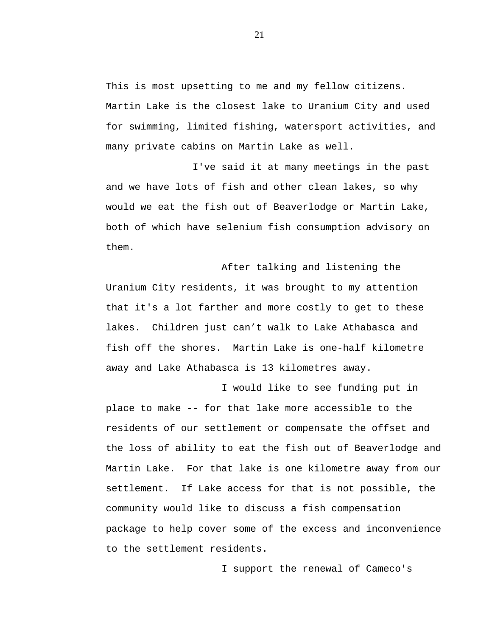This is most upsetting to me and my fellow citizens. Martin Lake is the closest lake to Uranium City and used for swimming, limited fishing, watersport activities, and many private cabins on Martin Lake as well.

I've said it at many meetings in the past and we have lots of fish and other clean lakes, so why would we eat the fish out of Beaverlodge or Martin Lake, both of which have selenium fish consumption advisory on them.

After talking and listening the Uranium City residents, it was brought to my attention that it's a lot farther and more costly to get to these lakes. Children just can't walk to Lake Athabasca and fish off the shores. Martin Lake is one-half kilometre away and Lake Athabasca is 13 kilometres away.

I would like to see funding put in place to make -- for that lake more accessible to the residents of our settlement or compensate the offset and the loss of ability to eat the fish out of Beaverlodge and Martin Lake. For that lake is one kilometre away from our settlement. If Lake access for that is not possible, the community would like to discuss a fish compensation package to help cover some of the excess and inconvenience to the settlement residents.

I support the renewal of Cameco's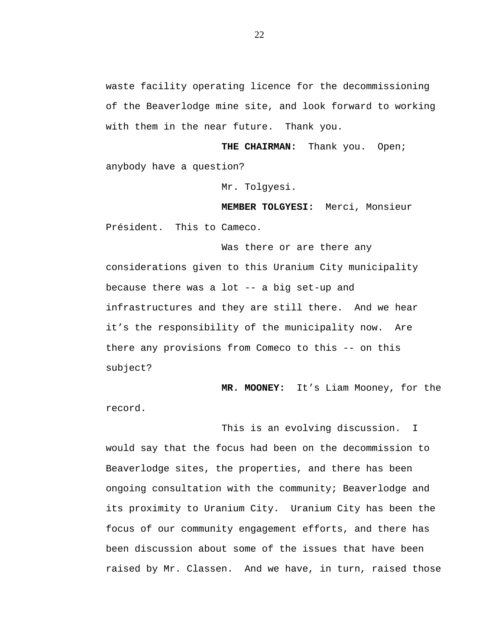waste facility operating licence for the decommissioning of the Beaverlodge mine site, and look forward to working with them in the near future. Thank you.

**THE CHAIRMAN:** Thank you. Open; anybody have a question?

Mr. Tolgyesi.

**MEMBER TOLGYESI:** Merci, Monsieur Président. This to Cameco.

Was there or are there any considerations given to this Uranium City municipality because there was a lot -- a big set-up and infrastructures and they are still there. And we hear it's the responsibility of the municipality now. Are there any provisions from Comeco to this -- on this subject?

**MR. MOONEY:** It's Liam Mooney, for the

record.

This is an evolving discussion. I would say that the focus had been on the decommission to Beaverlodge sites, the properties, and there has been ongoing consultation with the community; Beaverlodge and its proximity to Uranium City. Uranium City has been the focus of our community engagement efforts, and there has been discussion about some of the issues that have been raised by Mr. Classen. And we have, in turn, raised those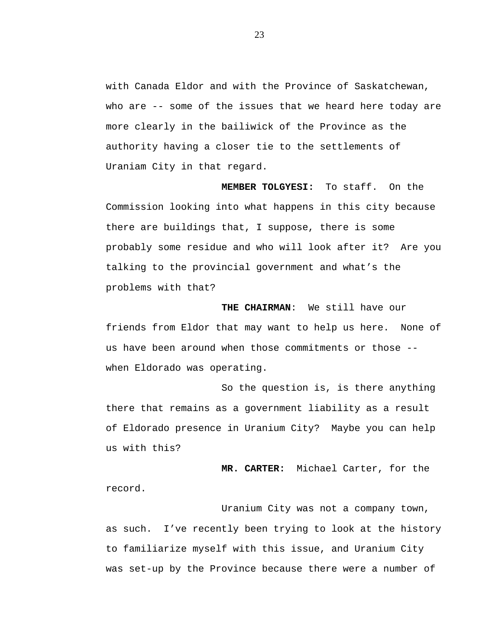with Canada Eldor and with the Province of Saskatchewan, who are -- some of the issues that we heard here today are more clearly in the bailiwick of the Province as the authority having a closer tie to the settlements of Uraniam City in that regard.

**MEMBER TOLGYESI:** To staff. On the Commission looking into what happens in this city because there are buildings that, I suppose, there is some probably some residue and who will look after it? Are you talking to the provincial government and what's the problems with that?

 **THE CHAIRMAN**: We still have our friends from Eldor that may want to help us here. None of us have been around when those commitments or those - when Eldorado was operating.

So the question is, is there anything there that remains as a government liability as a result of Eldorado presence in Uranium City? Maybe you can help us with this?

**MR. CARTER:** Michael Carter, for the record.

Uranium City was not a company town, as such. I've recently been trying to look at the history to familiarize myself with this issue, and Uranium City was set-up by the Province because there were a number of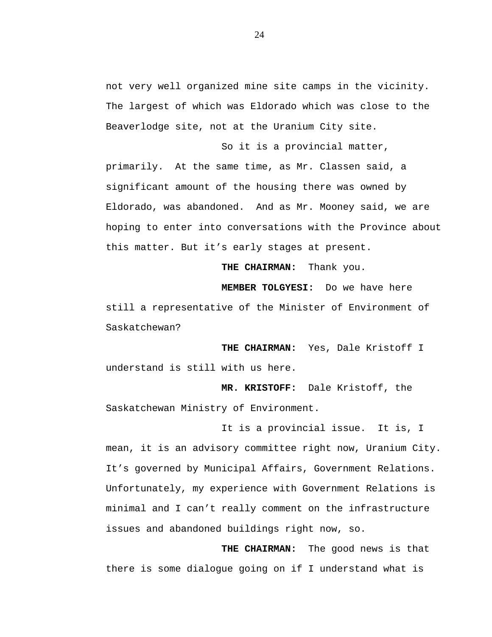not very well organized mine site camps in the vicinity. The largest of which was Eldorado which was close to the Beaverlodge site, not at the Uranium City site.

So it is a provincial matter, primarily. At the same time, as Mr. Classen said, a significant amount of the housing there was owned by Eldorado, was abandoned. And as Mr. Mooney said, we are hoping to enter into conversations with the Province about this matter. But it's early stages at present.

**THE CHAIRMAN:** Thank you.

**MEMBER TOLGYESI:** Do we have here still a representative of the Minister of Environment of Saskatchewan?

 **THE CHAIRMAN:** Yes, Dale Kristoff I understand is still with us here.

 **MR. KRISTOFF:** Dale Kristoff, the Saskatchewan Ministry of Environment.

It is a provincial issue. It is, I mean, it is an advisory committee right now, Uranium City. It's governed by Municipal Affairs, Government Relations. Unfortunately, my experience with Government Relations is minimal and I can't really comment on the infrastructure issues and abandoned buildings right now, so.

**THE CHAIRMAN:** The good news is that there is some dialogue going on if I understand what is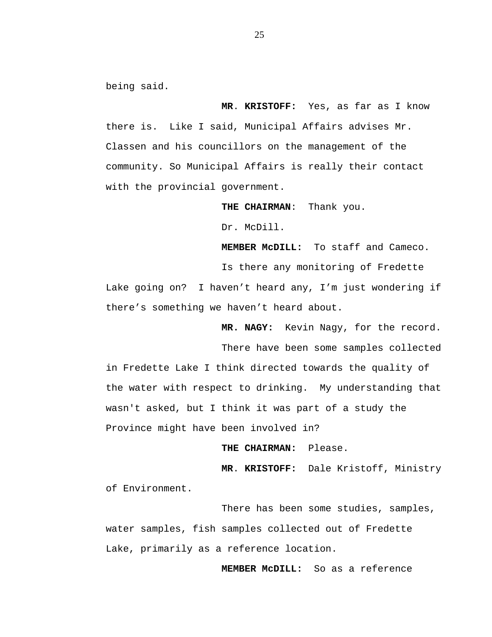being said.

**MR**. **KRISTOFF:** Yes, as far as I know there is. Like I said, Municipal Affairs advises Mr. Classen and his councillors on the management of the community. So Municipal Affairs is really their contact with the provincial government.

 **THE CHAIRMAN**: Thank you.

Dr. McDill.

**MEMBER McDILL:** To staff and Cameco.

Is there any monitoring of Fredette

Lake going on? I haven't heard any, I'm just wondering if there's something we haven't heard about.

**MR. NAGY:** Kevin Nagy, for the record.

There have been some samples collected in Fredette Lake I think directed towards the quality of the water with respect to drinking. My understanding that wasn't asked, but I think it was part of a study the Province might have been involved in?

**THE CHAIRMAN:** Please.

**MR**. **KRISTOFF:** Dale Kristoff, Ministry of Environment.

There has been some studies, samples, water samples, fish samples collected out of Fredette Lake, primarily as a reference location.

 **MEMBER McDILL:** So as a reference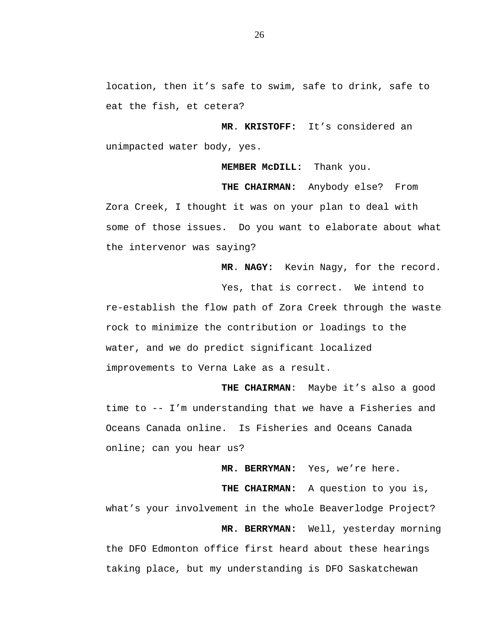location, then it's safe to swim, safe to drink, safe to eat the fish, et cetera?

**MR**. **KRISTOFF:** It's considered an unimpacted water body, yes.

 **MEMBER McDILL:** Thank you.

 **THE CHAIRMAN:** Anybody else? From Zora Creek, I thought it was on your plan to deal with some of those issues. Do you want to elaborate about what the intervenor was saying?

**MR**. **NAGY:** Kevin Nagy, for the record.

Yes, that is correct. We intend to re-establish the flow path of Zora Creek through the waste rock to minimize the contribution or loadings to the water, and we do predict significant localized improvements to Verna Lake as a result.

 **THE CHAIRMAN**: Maybe it's also a good time to -- I'm understanding that we have a Fisheries and Oceans Canada online. Is Fisheries and Oceans Canada online; can you hear us?

**MR. BERRYMAN:** Yes, we're here.

**THE CHAIRMAN:** A question to you is, what's your involvement in the whole Beaverlodge Project? **MR. BERRYMAN:** Well, yesterday morning the DFO Edmonton office first heard about these hearings taking place, but my understanding is DFO Saskatchewan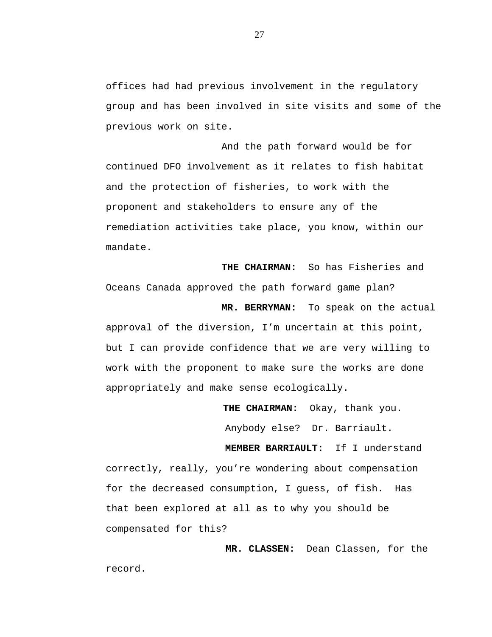offices had had previous involvement in the regulatory group and has been involved in site visits and some of the previous work on site.

And the path forward would be for continued DFO involvement as it relates to fish habitat and the protection of fisheries, to work with the proponent and stakeholders to ensure any of the remediation activities take place, you know, within our mandate.

 **THE CHAIRMAN:** So has Fisheries and Oceans Canada approved the path forward game plan? **MR. BERRYMAN:** To speak on the actual approval of the diversion, I'm uncertain at this point, but I can provide confidence that we are very willing to work with the proponent to make sure the works are done appropriately and make sense ecologically.

> **THE CHAIRMAN:** Okay, thank you. Anybody else? Dr. Barriault.

 **MEMBER BARRIAULT:** If I understand correctly, really, you're wondering about compensation for the decreased consumption, I guess, of fish. Has that been explored at all as to why you should be compensated for this?

 **MR. CLASSEN:** Dean Classen, for the record.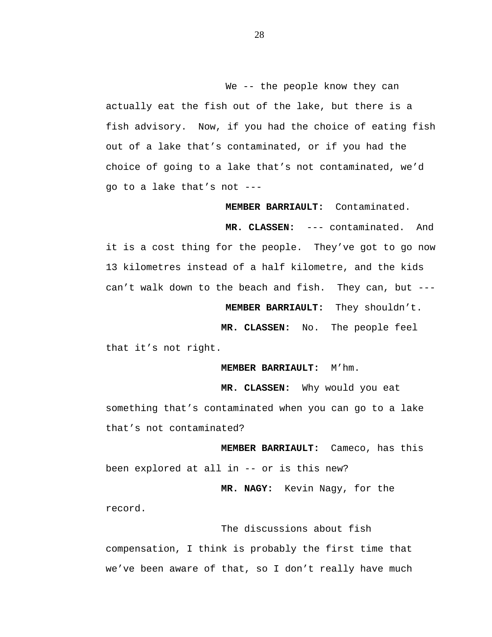We -- the people know they can actually eat the fish out of the lake, but there is a fish advisory. Now, if you had the choice of eating fish out of a lake that's contaminated, or if you had the choice of going to a lake that's not contaminated, we'd go to a lake that's not ---

**MEMBER BARRIAULT:** Contaminated.

 **MR. CLASSEN:** --- contaminated. And it is a cost thing for the people. They've got to go now 13 kilometres instead of a half kilometre, and the kids can't walk down to the beach and fish. They can, but ---

 **MEMBER BARRIAULT:** They shouldn't.

 **MR. CLASSEN:** No. The people feel

that it's not right.

 **MEMBER BARRIAULT:** M'hm.

 **MR. CLASSEN:** Why would you eat something that's contaminated when you can go to a lake that's not contaminated?

 **MEMBER BARRIAULT:** Cameco, has this been explored at all in -- or is this new?

 **MR. NAGY:** Kevin Nagy, for the record.

The discussions about fish compensation, I think is probably the first time that we've been aware of that, so I don't really have much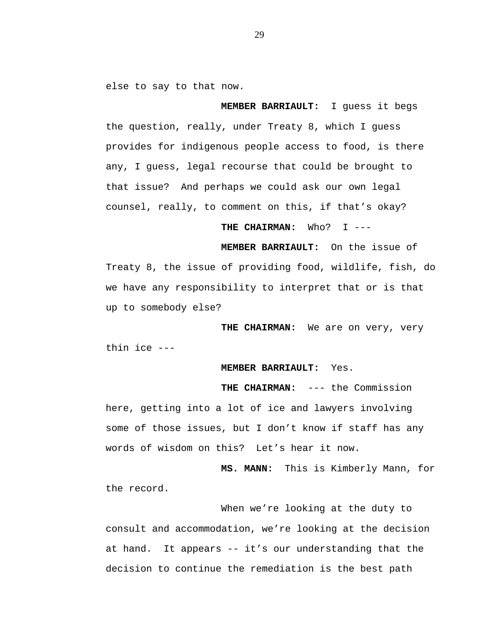else to say to that now.

 **MEMBER BARRIAULT:** I guess it begs the question, really, under Treaty 8, which I guess provides for indigenous people access to food, is there any, I guess, legal recourse that could be brought to that issue? And perhaps we could ask our own legal counsel, really, to comment on this, if that's okay?

 **THE CHAIRMAN:** Who? I ---

 **MEMBER BARRIAULT:** On the issue of Treaty 8, the issue of providing food, wildlife, fish, do we have any responsibility to interpret that or is that up to somebody else?

 **THE CHAIRMAN:** We are on very, very thin ice ---

 **MEMBER BARRIAULT:** Yes.

 **THE CHAIRMAN:** --- the Commission here, getting into a lot of ice and lawyers involving some of those issues, but I don't know if staff has any words of wisdom on this? Let's hear it now.

 **MS. MANN:** This is Kimberly Mann, for the record.

When we're looking at the duty to consult and accommodation, we're looking at the decision at hand. It appears -- it's our understanding that the decision to continue the remediation is the best path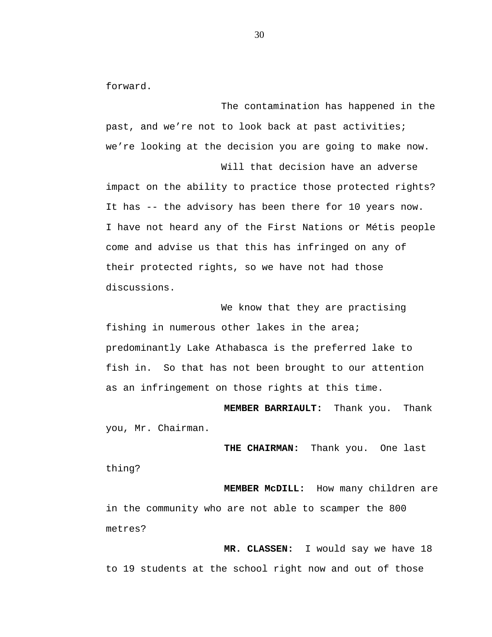forward.

The contamination has happened in the past, and we're not to look back at past activities; we're looking at the decision you are going to make now.

Will that decision have an adverse impact on the ability to practice those protected rights? It has -- the advisory has been there for 10 years now. I have not heard any of the First Nations or Métis people come and advise us that this has infringed on any of their protected rights, so we have not had those discussions.

We know that they are practising fishing in numerous other lakes in the area; predominantly Lake Athabasca is the preferred lake to fish in. So that has not been brought to our attention as an infringement on those rights at this time.

**MEMBER BARRIAULT:** Thank you. Thank you, Mr. Chairman.

 **THE CHAIRMAN:** Thank you. One last thing?

 **MEMBER McDILL:** How many children are in the community who are not able to scamper the 800 metres?

 **MR. CLASSEN:** I would say we have 18 to 19 students at the school right now and out of those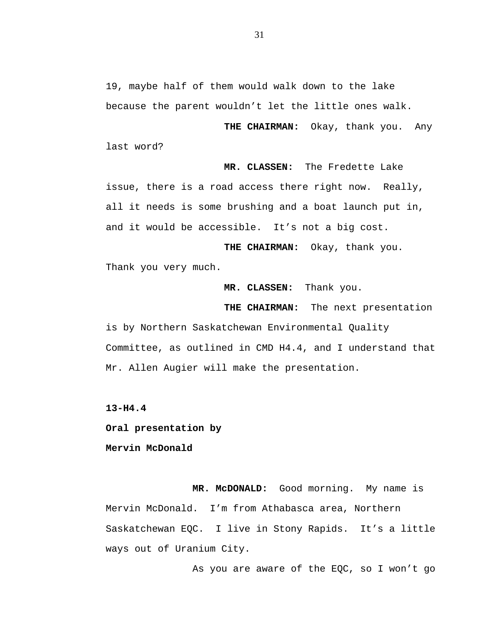19, maybe half of them would walk down to the lake because the parent wouldn't let the little ones walk.

 **THE CHAIRMAN:** Okay, thank you. Any last word?

 **MR. CLASSEN:** The Fredette Lake issue, there is a road access there right now. Really, all it needs is some brushing and a boat launch put in, and it would be accessible. It's not a big cost.

 **THE CHAIRMAN:** Okay, thank you. Thank you very much.

 **MR. CLASSEN:** Thank you.

 **THE CHAIRMAN:** The next presentation

is by Northern Saskatchewan Environmental Quality Committee, as outlined in CMD H4.4, and I understand that Mr. Allen Augier will make the presentation.

**13-H4.4** 

**Oral presentation by** 

**Mervin McDonald** 

 **MR. McDONALD:** Good morning. My name is Mervin McDonald. I'm from Athabasca area, Northern Saskatchewan EQC. I live in Stony Rapids. It's a little ways out of Uranium City.

As you are aware of the EQC, so I won't go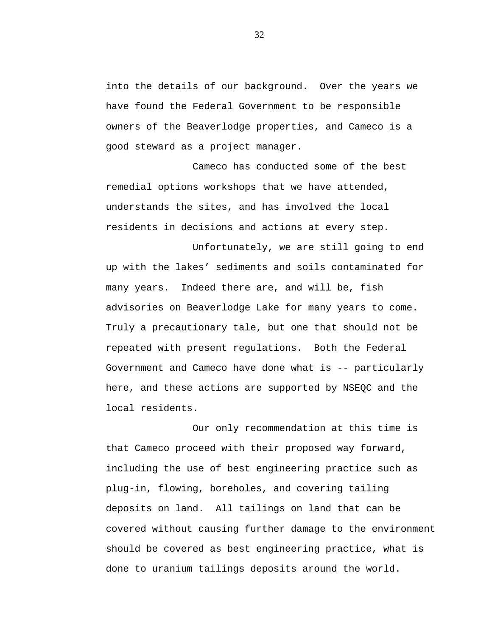into the details of our background. Over the years we have found the Federal Government to be responsible owners of the Beaverlodge properties, and Cameco is a good steward as a project manager.

Cameco has conducted some of the best remedial options workshops that we have attended, understands the sites, and has involved the local residents in decisions and actions at every step.

Unfortunately, we are still going to end up with the lakes' sediments and soils contaminated for many years. Indeed there are, and will be, fish advisories on Beaverlodge Lake for many years to come. Truly a precautionary tale, but one that should not be repeated with present regulations. Both the Federal Government and Cameco have done what is -- particularly here, and these actions are supported by NSEQC and the local residents.

Our only recommendation at this time is that Cameco proceed with their proposed way forward, including the use of best engineering practice such as plug-in, flowing, boreholes, and covering tailing deposits on land. All tailings on land that can be covered without causing further damage to the environment should be covered as best engineering practice, what is done to uranium tailings deposits around the world.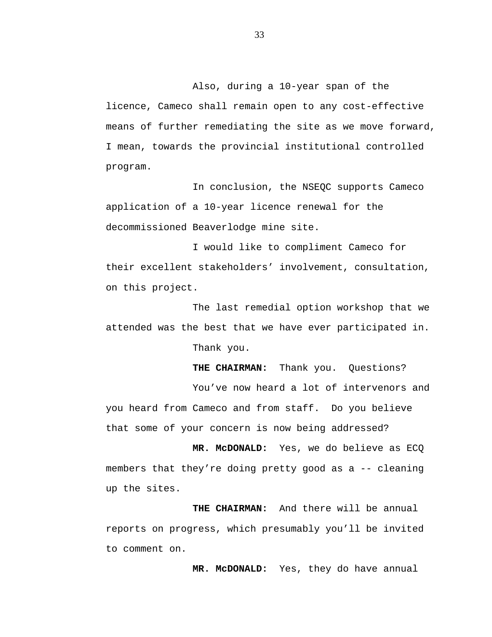Also, during a 10-year span of the licence, Cameco shall remain open to any cost-effective means of further remediating the site as we move forward, I mean, towards the provincial institutional controlled program.

In conclusion, the NSEQC supports Cameco application of a 10-year licence renewal for the decommissioned Beaverlodge mine site.

I would like to compliment Cameco for their excellent stakeholders' involvement, consultation, on this project.

The last remedial option workshop that we attended was the best that we have ever participated in.

Thank you.

THE CHAIRMAN: Thank you. Ouestions?

You've now heard a lot of intervenors and you heard from Cameco and from staff. Do you believe that some of your concern is now being addressed?

 **MR. McDONALD:** Yes, we do believe as ECQ members that they're doing pretty good as a -- cleaning up the sites.

 **THE CHAIRMAN:** And there will be annual reports on progress, which presumably you'll be invited to comment on.

 **MR. McDONALD:** Yes, they do have annual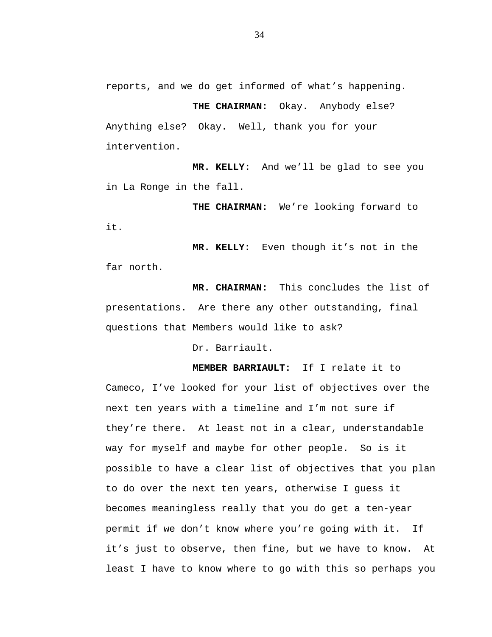reports, and we do get informed of what's happening.

 **THE CHAIRMAN:** Okay. Anybody else? Anything else? Okay. Well, thank you for your intervention.

 **MR. KELLY:** And we'll be glad to see you in La Ronge in the fall.

 **THE CHAIRMAN:** We're looking forward to it.

**MR. KELLY:** Even though it's not in the far north.

 **MR. CHAIRMAN:** This concludes the list of presentations. Are there any other outstanding, final questions that Members would like to ask?

Dr. Barriault.

**MEMBER BARRIAULT:** If I relate it to Cameco, I've looked for your list of objectives over the next ten years with a timeline and I'm not sure if they're there. At least not in a clear, understandable way for myself and maybe for other people. So is it possible to have a clear list of objectives that you plan to do over the next ten years, otherwise I guess it becomes meaningless really that you do get a ten-year permit if we don't know where you're going with it. If it's just to observe, then fine, but we have to know. At least I have to know where to go with this so perhaps you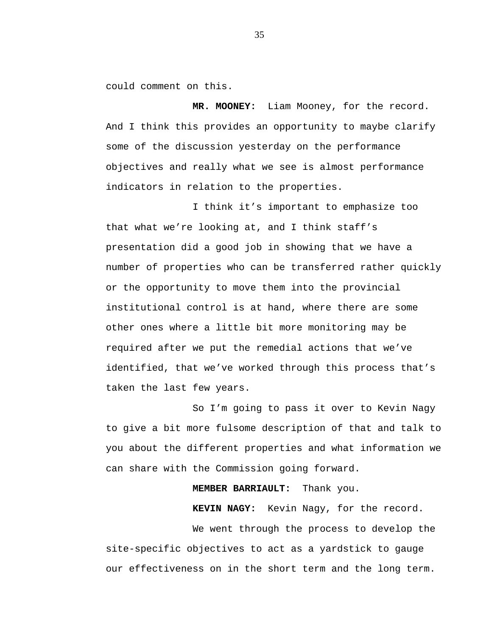could comment on this.

 **MR. MOONEY:** Liam Mooney, for the record. And I think this provides an opportunity to maybe clarify some of the discussion yesterday on the performance objectives and really what we see is almost performance indicators in relation to the properties.

I think it's important to emphasize too that what we're looking at, and I think staff's presentation did a good job in showing that we have a number of properties who can be transferred rather quickly or the opportunity to move them into the provincial institutional control is at hand, where there are some other ones where a little bit more monitoring may be required after we put the remedial actions that we've identified, that we've worked through this process that's taken the last few years.

So I'm going to pass it over to Kevin Nagy to give a bit more fulsome description of that and talk to you about the different properties and what information we can share with the Commission going forward.

**MEMBER BARRIAULT:** Thank you.

 **KEVIN NAGY:** Kevin Nagy, for the record.

We went through the process to develop the site-specific objectives to act as a yardstick to gauge our effectiveness on in the short term and the long term.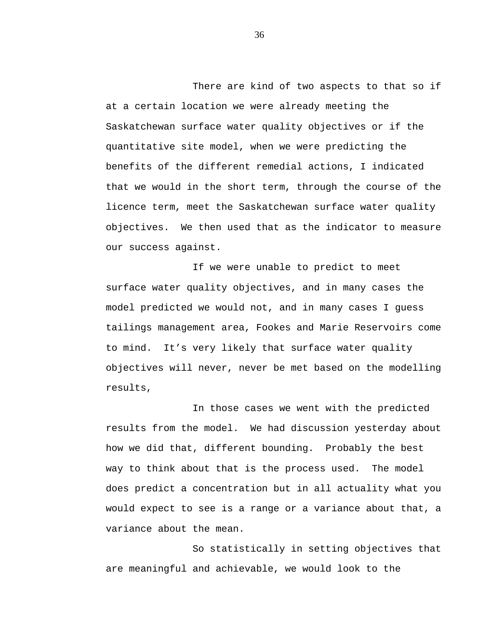There are kind of two aspects to that so if at a certain location we were already meeting the Saskatchewan surface water quality objectives or if the quantitative site model, when we were predicting the benefits of the different remedial actions, I indicated that we would in the short term, through the course of the licence term, meet the Saskatchewan surface water quality objectives. We then used that as the indicator to measure our success against.

If we were unable to predict to meet surface water quality objectives, and in many cases the model predicted we would not, and in many cases I guess tailings management area, Fookes and Marie Reservoirs come to mind. It's very likely that surface water quality objectives will never, never be met based on the modelling results,

In those cases we went with the predicted results from the model. We had discussion yesterday about how we did that, different bounding. Probably the best way to think about that is the process used. The model does predict a concentration but in all actuality what you would expect to see is a range or a variance about that, a variance about the mean.

So statistically in setting objectives that are meaningful and achievable, we would look to the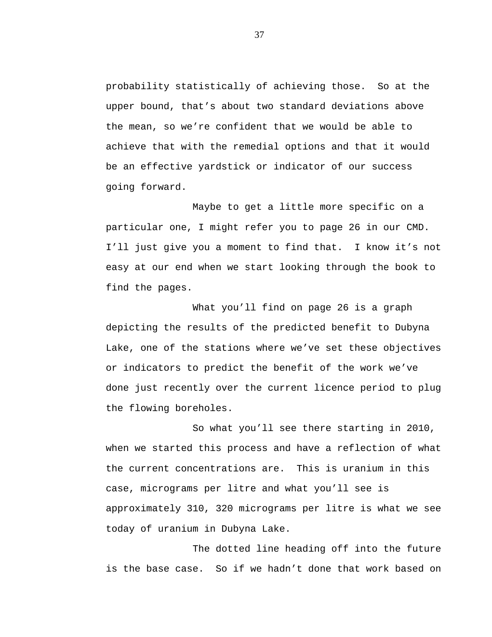probability statistically of achieving those. So at the upper bound, that's about two standard deviations above the mean, so we're confident that we would be able to achieve that with the remedial options and that it would be an effective yardstick or indicator of our success going forward.

Maybe to get a little more specific on a particular one, I might refer you to page 26 in our CMD. I'll just give you a moment to find that. I know it's not easy at our end when we start looking through the book to find the pages.

What you'll find on page 26 is a graph depicting the results of the predicted benefit to Dubyna Lake, one of the stations where we've set these objectives or indicators to predict the benefit of the work we've done just recently over the current licence period to plug the flowing boreholes.

So what you'll see there starting in 2010, when we started this process and have a reflection of what the current concentrations are. This is uranium in this case, micrograms per litre and what you'll see is approximately 310, 320 micrograms per litre is what we see today of uranium in Dubyna Lake.

The dotted line heading off into the future is the base case. So if we hadn't done that work based on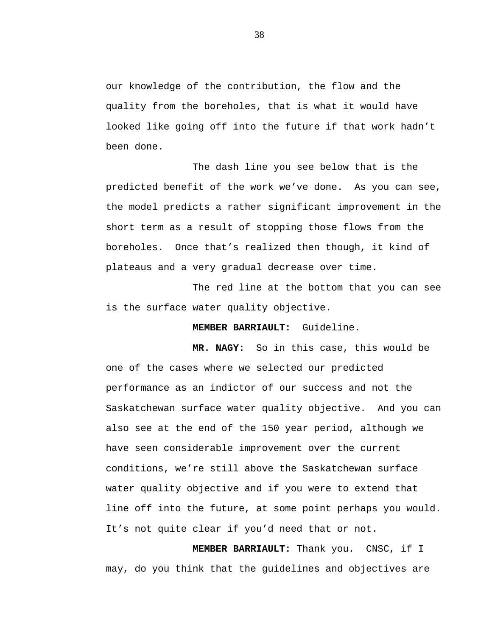our knowledge of the contribution, the flow and the quality from the boreholes, that is what it would have looked like going off into the future if that work hadn't been done.

The dash line you see below that is the predicted benefit of the work we've done. As you can see, the model predicts a rather significant improvement in the short term as a result of stopping those flows from the boreholes. Once that's realized then though, it kind of plateaus and a very gradual decrease over time.

The red line at the bottom that you can see is the surface water quality objective.

**MEMBER BARRIAULT:** Guideline.

 **MR. NAGY:** So in this case, this would be one of the cases where we selected our predicted performance as an indictor of our success and not the Saskatchewan surface water quality objective. And you can also see at the end of the 150 year period, although we have seen considerable improvement over the current conditions, we're still above the Saskatchewan surface water quality objective and if you were to extend that line off into the future, at some point perhaps you would. It's not quite clear if you'd need that or not.

 **MEMBER BARRIAULT:** Thank you. CNSC, if I may, do you think that the guidelines and objectives are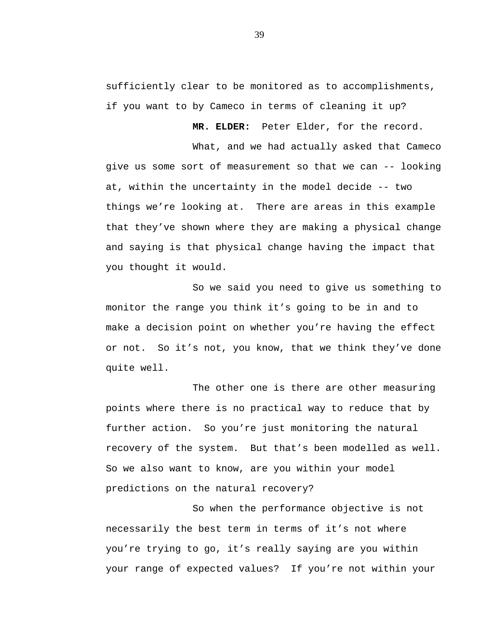sufficiently clear to be monitored as to accomplishments, if you want to by Cameco in terms of cleaning it up?

 **MR. ELDER:** Peter Elder, for the record.

What, and we had actually asked that Cameco give us some sort of measurement so that we can -- looking at, within the uncertainty in the model decide -- two things we're looking at. There are areas in this example that they've shown where they are making a physical change and saying is that physical change having the impact that you thought it would.

So we said you need to give us something to monitor the range you think it's going to be in and to make a decision point on whether you're having the effect or not. So it's not, you know, that we think they've done quite well.

The other one is there are other measuring points where there is no practical way to reduce that by further action. So you're just monitoring the natural recovery of the system. But that's been modelled as well. So we also want to know, are you within your model predictions on the natural recovery?

So when the performance objective is not necessarily the best term in terms of it's not where you're trying to go, it's really saying are you within your range of expected values? If you're not within your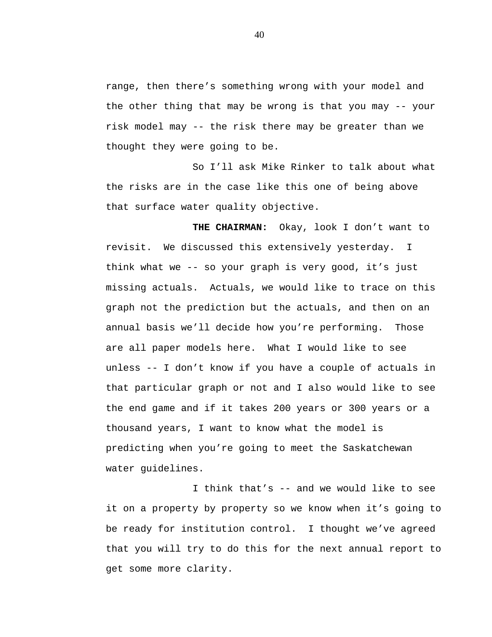range, then there's something wrong with your model and the other thing that may be wrong is that you may -- your risk model may -- the risk there may be greater than we thought they were going to be.

So I'll ask Mike Rinker to talk about what the risks are in the case like this one of being above that surface water quality objective.

**THE CHAIRMAN:** Okay, look I don't want to revisit. We discussed this extensively yesterday. I think what we -- so your graph is very good, it's just missing actuals. Actuals, we would like to trace on this graph not the prediction but the actuals, and then on an annual basis we'll decide how you're performing. Those are all paper models here. What I would like to see unless -- I don't know if you have a couple of actuals in that particular graph or not and I also would like to see the end game and if it takes 200 years or 300 years or a thousand years, I want to know what the model is predicting when you're going to meet the Saskatchewan water guidelines.

I think that's -- and we would like to see it on a property by property so we know when it's going to be ready for institution control. I thought we've agreed that you will try to do this for the next annual report to get some more clarity.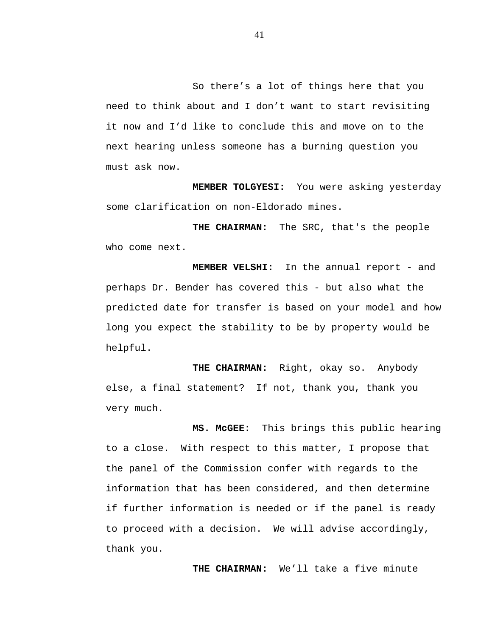So there's a lot of things here that you need to think about and I don't want to start revisiting it now and I'd like to conclude this and move on to the next hearing unless someone has a burning question you must ask now.

 **MEMBER TOLGYESI:** You were asking yesterday some clarification on non-Eldorado mines.

 **THE CHAIRMAN:** The SRC, that's the people who come next.

 **MEMBER VELSHI:** In the annual report - and perhaps Dr. Bender has covered this - but also what the predicted date for transfer is based on your model and how long you expect the stability to be by property would be helpful.

 **THE CHAIRMAN:** Right, okay so. Anybody else, a final statement? If not, thank you, thank you very much.

 **MS. McGEE:** This brings this public hearing to a close. With respect to this matter, I propose that the panel of the Commission confer with regards to the information that has been considered, and then determine if further information is needed or if the panel is ready to proceed with a decision. We will advise accordingly, thank you.

 **THE CHAIRMAN:** We'll take a five minute